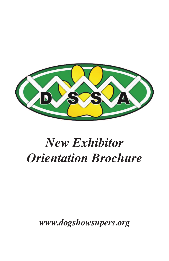

# *New Exhibitor Orientation Brochure*

*www.dogshowsupers.org*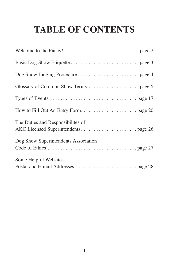## **TABLE OF CONTENTS**

| The Duties and Responsibilites of    |
|--------------------------------------|
| Dog Show Superintendents Association |
| Some Helpful Websites,               |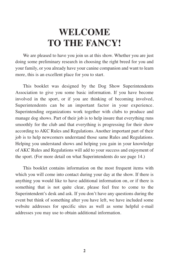## **WELCOME TO THE FANCY!**

We are pleased to have you join us at this show. Whether you are just doing some preliminary research in choosing the right breed for you and your family, or you already have your canine companion and want to learn more, this is an excellent place for you to start.

This booklet was designed by the Dog Show Superintendents Association to give you some basic information. If you have become involved in the sport, or if you are thinking of becoming involved, Superintendents can be an important factor in your experience. Superintending organizations work together with clubs to produce and manage dog shows. Part of their job is to help insure that everything runs smoothly for the club and that everything is progressing for their show according to AKC Rules and Regulations. Another important part of their job is to help newcomers understand those same Rules and Regulations. Helping you understand shows and helping you gain in your knowledge of AKC Rules and Regulations will add to your success and enjoyment of the sport. (For more detail on what Superintendents do see page 14.)

This booklet contains information on the most frequent items with which you will come into contact during your day at the show. If there is anything you would like to have additional information on, or if there is something that is not quite clear, please feel free to come to the Superintendent's desk and ask. If you don't have any questions during the event but think of something after you have left, we have included some website addresses for specific sites as well as some helpful e-mail addresses you may use to obtain additional information.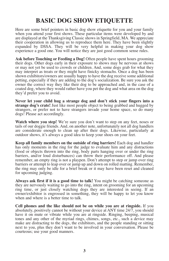## **BASIC DOG SHOW ETIQUETTE**

Here are some brief pointers in basic dog show etiquette for you and your family when you attend your first shows. These particular items were developed by and are displayed at the Thanksgiving Classic shows in Springfield, MA. We appreciate their cooperation in allowing us to reproduce them here. They have been slightly expanded by DSSA. They will be very helpful in making your dog show experience a good one. You will notice they are just good common sense rules.

**Ask before Touching or Feeding a Dog!** Often people have spent hours grooming their dogs. Other dogs early in their exposure to shows may be nervous at shows or may not yet be used to crowds or children. And, some dogs grab for what they may interpret as treats or they might have finicky stomachs. Once a dog has been shown exhibitors/owners are usually happy to have the dog receive some additional petting, especially if they are adding to the dog's socialization. Be sure you ask the owner the correct way they like their dog to be approached and, in the case of a coated dog, where they would rather have you pet the dog and what area on the dog they'd prefer you to avoid.

**Never let your child hug a strange dog and don't stick your fingers into a strange dog's crate!** Just like most people object to being grabbed and hugged by strangers, or prefer not to have strangers invade your home space, so do many dogs! Please act accordingly.

**Watch where you step!** We're sure you don't want to step on any feet, noses or tails of our doggie friends. And, on another note, unfortunately not all dog handlers are considerate enough to clean up after their dogs. Likewise, particularly at outdoor shows, it's always a good idea to keep your shoes on your feet.

**Keep all family members on the outside of ring barriers!** Each dog and handler has only moments in the ring for the judge to evaluate him and any distractions (food or objects thrown into the ring, body parts hanging over or under the ring barriers, and/or loud disturbances) can throw their performance off. And please remember, an empty ring is not a playpen. Don't attempt to step or jump over ring barriers or attempt to leap over or jump up and down on rolled matting. Remember, the ring may only be idle for a brief break or it may have been reset and cleaned for upcoming judging.

**Always ask first if it is a good time to talk!** You might be catching someone as they are nervously waiting to go into the ring, intent on grooming for an upcoming ring time, or just closely watching dogs they are interested in seeing. If an owner/exhibitor is engrossed in something, they will be happy to let you know when and where is a better time to talk.

**Cell phones and the like should not be on while you are at ringside.** If you absolutely, positively cannot be without your device at ANY time 24/7, you should have it on mute or vibrate while you are at ringside. Ringing, beeping, musical tones and any other of the myriad rings, chimes, songs, etc., such a device may make are distracting to the dogs, the exhibitors, and the people standing or sitting next to you, plus they don't want to be involved in your conversation. Please be courteous; use your good manners.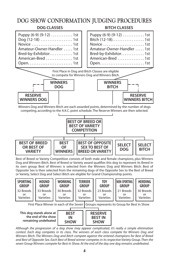## **DOG SHOW CONFORMATION JUDGING PROCEDURES**

#### **DOG CLASSES**

| Puppy (6-9) (9-12)  1st    |  |
|----------------------------|--|
| Dog (12-18) 1st            |  |
| Novice 1st                 |  |
| Amateur-Owner-Handler  1st |  |
| Bred-by-Exhibitor 1st      |  |
| American-Bred  1st         |  |
|                            |  |

#### **BITCH CLASSES**

| Puppy $(6-9)$ $(9-12)$ 1st |  |
|----------------------------|--|
| Bitch (12-18). 1st         |  |
| Novice 1st                 |  |
| Amateur-Owner-Handler  1st |  |
| Bred-by-Exhibitor 1st      |  |
| American-Bred  1st         |  |
|                            |  |





Best of Breed or Variety Competition consists of both male and female champions, plus Winners Dog and Winners Bitch. Best of Breed or Variety award qualifies this dog to represent its Breed in its own group. Best of Winners is selected from the Winners Dog and Winners Bitch. Best of Opposite Sex is then selected from the remaining dogs of the Opposite Sex to the Best of Breed or Variety. Select Dog and Select Bitch are eligible for Grand Championship points.

| SPORTING  <br><b>GROUP</b>                                                             |  | <b>HOUND</b><br><b>GROUP</b> |  | WORKING<br>GROUP         |                               | <b>TERRIER</b><br><b>GROUP</b> |                               |                        | <b>TOY</b><br><b>GROUP</b> | <b>I</b> NON-SPORTING I<br><b>GROUP</b> | <b>HERDING</b><br><b>GROUP</b> |
|----------------------------------------------------------------------------------------|--|------------------------------|--|--------------------------|-------------------------------|--------------------------------|-------------------------------|------------------------|----------------------------|-----------------------------------------|--------------------------------|
| ∣32 Breeds∣<br><b>Varieties</b>                                                        |  | 33 Breeds<br>Varieties       |  | 30 Breeds  <br>Varieties | 32 Breeds<br><b>Varieties</b> |                                | 23 Breeds<br><b>Varieties</b> | 21 Breeds<br>Varieties | 30 Breeds<br>Varieties     |                                         |                                |
| First Place Winner in each of the Seven   Groups represents its Group for Best in Show |  |                              |  |                          |                               |                                |                               |                        |                            |                                         |                                |

**This dog stands alone at the end of the show remaining undefeated BEST IN SHOW RESERVE BEST IN SHOW**

*Although the progression of a dog show may appear complicated, it's really a simple elimination contest. Each dog competes in its class. The winners of each class compete for Winners Dog and Winners Bitch. The Winners Dog and Bitch compete against the entered champions for Best of Breed and Best of Opposite Sex. Each Best of Breed winner competes in its respective Variety Group.Then the seven Group Winners compete for Best in Show.At the end of the day one dog remains undefeated.*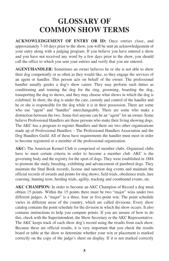## **GLOSSARY OF COMMON SHOW TERMS**

**ACKNOWLEDGEMENT OF ENTRY OR ID:** Once entries close, and approximately 7-10 days prior to the show, you will be sent an acknowledgement of your entry along with a judging program. If you believe you have entered a show and you have not received any word by a few days prior to the show, you should call the office to which you sent your entries and verify that you are entered.

**AGENT/HANDLER:** Sometimes an owner believes he or she is not able to show their dog competently or as often as they would like, so they engage the services of an agent or handler. This person acts on behalf of the owner. The professional handler usually guides a dog's show career. They may perform such duties as conditioning and training the dog for the ring, grooming, boarding the dog, transporting the dog to shows, and they may choose what shows in which the dog is exhibited. In short, the dog is under the care, custody and control of the handler and he or she is responsible for the dog while it is in their possession. There are some who use "agent" and "handler" interchangeably. There are some who make a distinction between the two. Some feel anyone can be an "agent" for an owner. Some believe Professional Handlers are those persons who make their living showing dogs. The AKC has a program to register Handlers and there are two other organizations made up of Professional Handlers – The Professional Handlers Association and the Dog Handlers Guild. All of these have requirements the handler must meet in order to become registered or a member of the professional organization.

**AKC:** The American Kennel Club is comprised of member clubs. Organized clubs have to meet certain criteria in order to become a member club. AKC is the governing body and the registry for the sport of dogs. They were established in 1884 to promote the study, breeding, exhibiting and advancement of purebred dogs. They maintain the Stud Book records, license and sanction dog events and maintain the official records of awards and points for dog shows, field trials, obedience trials, lure coursing, hunting tests, herding trials, agility, tracking and coonhound events, etc.

**AKC CHAMPION:** In order to become an AKC Champion of Record a dog must obtain 15 points. Within the 15 points there must be two "major" wins under two different judges. A "major" is a three, four or five-point win. The point schedule varies in different areas of the country, which are called divisions. Every show catalog contains the point schedule for the division in which the show occurs. It also contains instructions to help you compute points. If you are unsure of how to do this, check with the Superintendent, the Show Secretary or the AKC Representative. The AKC keeps track of each show dog's record using the results from each show. Because these are official results, it is very important that you check the results board or table at the show to determine whether your win or placement is marked correctly on the copy of the judge's sheet on display. If it is not marked correctly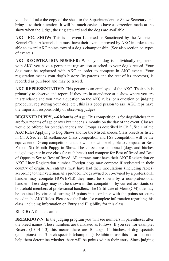you should take the copy of the sheet to the Superintendent or Show Secretary and bring it to their attention. It will be much easier to have a correction made at the show when the judge, the ring steward and the dogs are available.

**AKC DOG SHOW:** This is an event Licensed or Sanctioned by the American Kennel Club. A kennel club must have their event approved by AKC in order to be able to award AKC points toward a dog's championship. (See also section on types of events.)

**AKC REGISTRATION NUMBER:** When your dog is individually registered with AKC you have a permanent registration attached to your dog's record. Your dog must be registered with AKC in order to compete in AKC events. Your registration means your dog's history (its parents and the rest of its ancestors) is recorded as purebred and may be traced.

**AKC REPRESENTATIVE:** This person is an employee of the AKC. Their job is primarily to observe and report. If they are in attendance at a show where you are in attendance and you have a question on the AKC rules, or a question on judging procedure, registering your dog, etc., this is a good person to ask. AKC reps have the important responsibility of observing judges.

**BEGINNER PUPPY, 4-6 Months of Age:** This competition is for dogs/bitches that are four months of age or over but under six months on the day of the event. Classes would be offered for breeds/varieties and Groups as described in Ch 3, Sec 1 of the AKC Rules Applying to Dog Shows and for the Miscellaneous Class breeds as listed in Ch 3, Sec 23. Miscellaneous Class competition and FSS competition will be the equivalent of Group competition and the winners will be eligible to compete for Best Four-to-Six Month Puppy in Show. The classes are combined (dogs and bitches judged together in one class for each breed) and compete for Best of Breed and Best of Opposite Sex to Best of Breed. All entrants must have their AKC Registration or AKC Litter Registration number. Foreign dogs may compete if registered in their country of origin. All entrants must have had their inoculations (including rabies) according to their veterinarian's protocol. Dogs owned or co-owned by a professional handler may compete HOWEVER they must be shown by a non-professional handler. These dogs may not be shown in this competition by current assistants or household members of professional handlers. The Certificate of Merit (CM) title may be obtained by virtue of earning 15 points in accordance with the points structure noted in the AKC Rules. Please see the Rules for complete information regarding this class, including information on Entry and Eligibility for this class.

**BITCH:** A female canine.

**BREAKDOWN:** In the judging program you will see numbers in parentheses after the breed names. These numbers are translated as follows: If you see, for example, Boxers (10-14-4-3) this means there are 10 dogs, 14 bitches, 4 dog specials (champions) and 3 bitch specials (champions). Exhibitors use this information to help them determine whether there will be points within their entry. Since judging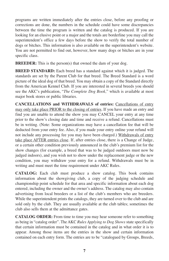programs are written immediately after the entries close, before any proofing or corrections are done, the numbers in the schedule could have some discrepancies between the time the program is written and the catalog is produced. If you are looking for an elusive point or a major and the totals are borderline you may call the superintendent's office a few days before the show to verify the total number of dogs or bitches. This information is also available on the superintendent's website. You are not permitted to find out, however, how many dogs or bitches are in your specific class.

**BREEDER:** This is the person(s) that owned the dam of your dog.

**BREED STANDARD:** Each breed has a standard against which it is judged. The standards are set by the Parent Club for that breed. The Breed Standard is a word picture of the ideal dog of that breed. You may obtain a copy of the Standard directly from the American Kennel Club. If you are interested in several breeds you should see the AKC's publication, "*The Complete Dog Book,*" which is available at most major book stores or public libraries.

**CANCELLATIONS and WITHDRAWALS of entries:** Cancellations of entry may only take place PRIOR to the closing of entries. If you have made an entry and find you are unable to attend the show you may CANCEL your entry at any time prior to the show's closing date and time and receive a refund. Cancellations must be in writing. (Note: Some organizations may have a cancellation fee that will be deducted from your entry fee. Also, if you made your entry online your refund will not include any processing fee you may have been charged.) Withdrawals of entry take place AFTER entries close. If, after entries close, there is a Change of Judge, or a certain other condition previously announced in the club's premium list for the show changes (for example, a breed that was to be judged outdoors must now be judged indoors), and you wish not to show under the replacement judge or the new condition, you may withdraw your entry for a refund. Withdrawals must be in writing and must meet the time requirement under AKC Rules.

**CATALOG:** Each club must produce a show catalog. This book contains information about the showgiving club, a copy of the judging schedule and championship point schedule for that area and specific information about each dog entered, including the owner and the owner's address. The catalog may also contain advertising from local breeders or a list of the club's members who are breeders. While the superintendent prints the catalogs, they are turned over to the club and are sold only by the club. They are usually available at the club tables; sometimes the club also sells them at the admittance gates.

**CATALOG ORDER:** From time to time you may hear someone refer to something as being in "catalog order". The AKC *Rules Applying to Dog Shows* state specifically that certain information must be contained in the catalog and in what order it is to appear. Among those items are the entries in the show and certain information contained on each entry form. The entries are to be "catalogued by Groups, Breeds,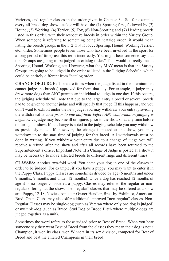Varieties, and regular classes in the order given in Chapter 3." So, for example, every all-breed dog show catalog will have the (1) Sporting first, followed by (2) Hound, (3) Working, (4) Terrier, (5) Toy, (6) Non-Sporting and (7) Herding breeds listed in this order, with their respective breeds in order within the Variety Group. When someone is referring to something being in "catalog order" it would mean listing the breeds/groups in the 1, 2, 3, 4, 5, 6, 7, Sporting, Hound, Working, Terrier, etc., order. Sometimes people (even those who have been involved in the sport for a long period of time) use this term incorrectly. You might hear someone say that the "Groups are going to be judged in catalog order." That would correctly mean, Sporting, Hound, Working, etc. However, what they MAY mean is that the Variety Groups are going to be judged in the order as listed in the Judging Schedule, which could be entirely different from "catalog order" .

**CHANGE OF JUDGE:** There are times when the judge listed in the premium list cannot judge the breed(s) approved for them that day. For example, a judge may draw more dogs than AKC permits an individual to judge in one day. If this occurs, the judging schedule will note that due to the large entry a breed or several breeds had to be given to another judge and will specify that judge. If this happens, and you don't want to exhibit under the new judge, you may withdraw your entry, providing the withdrawal is done *prior to one half-hour before ANY conformation judging is begun.* Or, a judge may become ill or injured prior to the show or at any time before or during the show. If the change is noted in the judging schedule you may withdraw as previously noted. If, however, the change is posted at the show, you may withdraw up to the start time of judging for that breed*.* All withdrawals must be done in writing. If you withdraw your entry due to a change of judge you will receive a refund after the show and after all records have been returned to the Superintendent's office. Important Note: If a Change of Judge is posted at a show it may be necessary to move affected breeds to different rings and different times.

**CLASSES:** Another two-fold word. You enter your dog in one of the classes in order to be judged. For example, if you have a puppy, you may want to enter it in the Puppy Class. Puppy Classes are sometimes divided by age (6 months and under 9 months; 9 months and under 12 months). Once a dog has reached 12 months of age it is no longer considered a puppy. Classes may refer to the regular or nonregular offerings at the show. The "regular" classes that may be offered at a show are: Puppy, 12-18, Novice, Amateur-Owner Handler, Bred-by-Exhibitor, American-Bred, Open. Clubs may also offer additional approved "non-regular" classes. Non-Regular Classes may be single-dog (such as Veteran where only one dog is judged) or multiple-dog (such as Brace, Stud Dog or Brood Bitch where multiple dogs are judged together as a unit).

Sometimes the word refers to those judged prior to Best of Breed. When you hear someone say they went Best of Breed from the classes they mean their dog is not a Champion, it won its class, won Winners in its sex division, competed for Best of Breed and beat the entered Champions in their breed.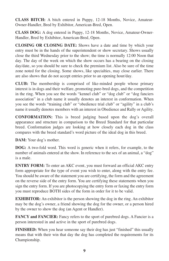**CLASS BITCH:** A bitch entered in Puppy, 12-18 Months, Novice, Amateur-Owner-Handler, Bred by Exhibitor, American-Bred, Open.

**CLASS DOG:** A dog entered in Puppy, 12-18 Months, Novice, Amateur-Owner-Handler, Bred by Exhibitor, American-Bred, Open.

**CLOSING OR CLOSING DATE:** Shows have a date and time by which your entry must be in the hands of the superintendent or show secretary. Shows usually close the third Wednesday prior to the show; the time is normally 12:00 Noon that day. The day of the week on which the show occurs has a bearing on the closing day/date, so you should be sure to check the premium list. Also be sure of the time zone noted for the closing. Some shows, like specialties, may close earlier. There are also shows that do not accept entries prior to an opening hour/day.

**CLUB:** The membership is comprised of like-minded people whose primary interest is in dogs and their welfare, promoting pure-bred dogs, and the competition in the ring. When you see the words "kennel club" or "dog club" or "dog fanciers association" in a club name it usually denotes an interest in conformation. When you see the words "training club" or "obedience trial club" or "agility" in a club's name it usually denotes members with an interest in Obedience and Rally or Agility.

**CONFORMATION:** This is breed judging based upon the dog's overall appearance and structure in comparison to the Breed Standard for that particular breed. Conformation judges are looking at how closely each dog in the class compares with the breed standard's word picture of the ideal dog in this breed.

**DAM:** Your dog's mother.

**DOG:** A two-fold word. This word is generic when it refers, for example, to the number of animals entered at the show. In reference to the sex of an animal, a "dog" is a male.

**ENTRY FORM:** To enter an AKC event, you must forward an official AKC entry form appropriate for the type of event you wish to enter, along with the entry fee. You should be aware of the statement you are certifying, the form and the agreement on the reverse side of the entry form. You are certifying these statements when you sign the entry form. If you are photocopying the entry form or faxing the entry form you must reproduce BOTH sides of the form in order for it to be valid.

**EXHIBITOR:** An exhibitor is the person showing the dog in the ring. An exhibitor may be the dog's owner, a friend showing the dog for the owner, or a person hired by the owner to show the dog (an Agent or Handler).

**FANCY and FANCIER:** Fancy refers to the sport of purebred dogs. A Fancier is a person interested in and active in the sport of purebred dogs.

**FINISHED:** When you hear someone say their dog has just "finished" this usually means that with their win that day the dog has completed the requirements for its Championship.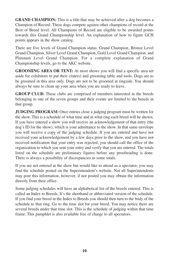**GRAND CHAMPION:** This is a title that may be achieved after a dog becomes a Champion of Record. These dogs compete against other champions of record at the Best of Breed level. All Champions of Record are eligible to be awarded points towards this Grand Championship level. An explanation of how to figure GCH points appears in the show catalog.

There are five levels of Grand Champion status: Grand Champion, Bronze Level Grand Champion, Silver Level Grand Champion, Gold Level Grand Champion, and Platinum Level Grand Champion. For a complete explanation of Grand Championship levels, go to the AKC website.

**GROOMING AREA OR TENT:** At most shows you will find a specific area set aside for exhibitors to put their crate(s) and grooming table and tools. Dogs are to be groomed in this area only. Dogs are not to be groomed at ringside. You should always be sure to clean up your area when you are ready to leave.

**GROUP CLUB:** These clubs are comprised of members interested in the breeds belonging to one of the seven groups and their events are limited to the breeds in that group.

**JUDGING PROGRAM:** Once entries close a judging program must be written for the show. This is a schedule of what time and in what ring each breed will be shown. If you have entered a show you will receive an acknowledgement of that entry (the dog's ID for the show), which is your admittance to the show. In that same envelope you will receive a copy of the judging schedule. If you are entered and have not received your acknowledgement by a few days prior to the show, and you have not received notification that your entry was rejected, you should call the office of the organization to which you sent your entry and verify that you are entered. The totals listed on the schedule are preliminary figures before any proofreading is done. There is always a possibility of discrepancies in some totals.

If you are not entered at the show but would like to attend as a spectator, you may find the schedule posted on the Superintendent's website. Not all Superintendents may post this information, however, if not posted you may obtain the information directly from their office.

Some judging schedules will have an alphabetical list of the breeds entered. This is called an Index to Breeds. It's the shorthand or abbreviated version of the schedule. If you find your breed in the Index to Breeds you should then turn to the body of the schedule to that ring. Go to the time slot for your breed. You may notice there are several breeds under that time slot. This is the schedule of judging within that time frame. This pamphlet is also available free of charge to all spectators.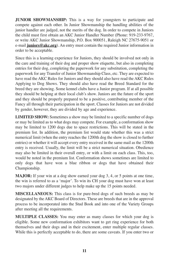**JUNIOR SHOWMANSHIP:** This is a way for youngsters to participate and compete against each other. In Junior Showmanship the handling abilities of the junior handler are judged, not the merits of the dog. In order to compete in Juniors the child must first obtain an AKC Junior Handler Number (Phone: 919-233-9767, or write AKC Junior Showmanship, P.O. Box 900051, Raleigh NC 27675-9051 or e-mail **juniors@akc.org**). An entry must contain the required Junior information in order to be acceptable.

Since this is a learning experience for Juniors, they should be involved not only in the care and training of their dog and proper show etiquette, but also in completing entries for their dog, completing the paperwork for any substitution, completing the paperwork for any Transfer of Junior Showmanship Class, etc. They are expected to have read the AKC Rules for Juniors and they should also have read the AKC Rules Applying to Dog Shows. They should also have read the Breed Standard for the breed they are showing. Some kennel clubs have a Junior program. If at all possible they should be helping at their local club's show. Juniors are the future of the sport and they should be properly prepared to be a positive, contributing member of the Fancy all through their participation in the sport. Classes for Juniors are not divided by gender, however, they are divided by age and experience.

**LIMITED SHOW:** Sometimes a show may be limited to a specific number of dogs or may be limited as to what dogs may compete. For example, a conformation show may be limited to 1200 dogs due to space restrictions. This will be stated in the premium list. In addition, the premium list would state whether this was a strict numerical limit (when the entry reaches the 1200th dog the show is closed to further entries) or whether it will accept every entry received in the same mail as the 1200th entry is received. Usually, the limit will be a strict numerical situation. Obedience may also be limited in their overall entry, or with a limit on each class. This, too, would be noted in the premium list. Conformation shows sometimes are limited to only dogs that have won a blue ribbon or dogs that have obtained their Championship.

**MAJOR:** If your win at a dog show earned your dog 3, 4, or 5 points at one time, the win is referred to as a 'major'. To win its CH your dog must have won at least two majors under different judges to help make up the 15 points needed.

**MISCELLANEOUS:** This class is for pure-bred dogs of such breeds as may be designated by the AKC Board of Directors. These are breeds that are in the approval process to be incorporated into the Stud Book and into one of the Variety Groups after meeting all the requirements.

**MULTIPLE CLASSES:** You may enter as many classes for which your dog is eligible. Some new conformation exhibitors want to get ring experience for both themselves and their dogs and in their excitement, enter multiple regular classes. While this is perfectly acceptable to do, there are some caveats. If you enter two or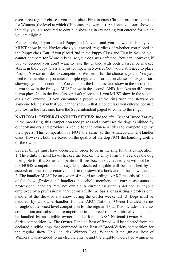even three regular classes, you must place First in each Class in order to compete for Winners (the level at which CH points are awarded). And once you start showing that day, you are required to continue showing in everything you entered for which you are eligible.

For example, if you entered Puppy and Novice, and you showed in Puppy you MUST show in the Novice class you entered, regardless of whether you placed in the Puppy class. But, if you placed 2nd in the Puppy Class and First in Novice, you cannot compete for Winners because your dog was defeated. You can, however, if you've decided you don't want to take the chance with both classes, be marked absent in the Puppy Class and just compete in Novice. You would still need to place First in Novice in order to compete for Winners. But the choice is yours. You just need to remember if you enter multiple regular conformation classes, once you start showing, you must continue. You can miss the first class and show in the second, but if you show in the first you MUST show in the second. AND, it makes no difference if you place 2nd in the first class or don't place at all, you MUST show in the second class you entered. If you encounter a problem at the ring with the steward or someone telling you that you cannot show in that second class you entered because you lost in the first one, have the Superintendent paged to come to the ring.

**NATIONAL OWNER-HANDLED SERIES:** Judged after Best of Breed/Variety in the breed ring, this competition recognizes and showcases the dogs exhibited by owner-handlers and provides a venue for the owner-handlers to compete against their peers. This competition is NOT the same as the Amateur-Owner-Handler class. However, both are based on the quality of the dog NOT the handling ability of the owner.

Several things must have occurred in order to be in the ring for this competition: 1. The exhibitor must have checked the box on the entry form that declares the dog is eligible for this Series competition. If this box is not checked you will not be in the NOHS competition that day. Dogs declared eligible will be identified by an asterisk or other representative mark in the steward's book and in the show catalog. 2. The handler MUST be an owner of record according to AKC records of the date of the show. (Professional handlers, household members and current assistants to professional handlers may not exhibit. A current assistant is defined as anyone employed by a professional handler on a full-time basis, or assisting a professional handler at the show or any show during the cluster weekend.) 3. Dogs must be handled by an owner-handler for the AKC National Owner-Handled Series throughout the breed level competition for the regular show. This includes the class competition and subsequent competition in the breed ring. Additionally, dogs must be handled by an eligible owner-handler for all AKC National Owner-Handled Series competition. 4. The Owner-Handled Best of Breed will be selected from the declared eligible dogs that competed in the Best of Breed/Variety competition for the regular show. This includes Winners Dog, Winners Bitch (unless Best of Winners was awarded to an eligible entry), and the eligible undefeated winners of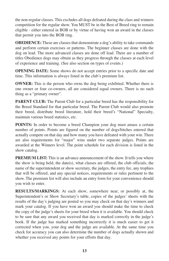the non-regular classes. This excludes all dogs defeated during the class and winners competition for the regular show. You MUST be in the Best of Breed ring to remain eligible - either entered in BOB or by virtue of having won an award in the classes that permit you into the BOB ring.

**OBEDIENCE:** These are classes that demonstrate a dog's ability to take commands and perform certain exercises or patterns. The beginner classes are done with the dog on lead. The more advanced classes are done off lead. There are a number of titles Obedience dogs may obtain as they progress through the classes at each level of experience and training. (See also section on types of events.)

**OPENING DATE:** Some shows do not accept entries prior to a specific date and time. This information is always listed in the club's premium list.

**OWNER:** This is the person who owns the dog being exhibited. Whether there is one owner or four co-owners, all are considered equal owners. There is no such thing as a "primary owner".

**PARENT CLUB:** The Parent Club for a particular breed has the responsibility for the Breed Standard for that particular breed. The Parent Club would also promote their breed, distribute breed literature, hold their breed's "National" Specialty, maintain various breed statistics, etc.

**POINTS:** In order to become a breed Champion your dog must amass a certain number of points. Points are figured on the number of dogs/bitches entered that actually compete on that day and how many you have defeated with your win. There are also requirements for "major" wins under two separate judges. Points are awarded at the Winners level. The point schedule for each division is listed in the show catalog.

**PREMIUM LIST:** This is an advance announcement of the show. It tells you where the show is being held, the date(s), what classes are offered, the club officials, the name of the superintendent or show secretary, the judges, the entry fee, any trophies that will be offered, and any special notices, requirements or rules pertinent to the show. The premium list will also include an entry form for your convenience should you wish to enter.

**RESULTS/MARKINGS:** At each show, somewhere near, or possibly at, the Superintendent's or Show Secretary's table, copies of the judges' sheets with the results of the day's judging are posted so you may check on that day's winners and mark your catalog. If you have won an award you should make the time to check the copy of the judge's sheets for your breed when it is available. You should check to be sure that any award you received that day is marked correctly in the judge's book. If the judge has marked something incorrectly it is much easier to get it corrected when you, your dog and the judge are available. At the same time you check for accuracy you can also determine the number of dogs actually shown and whether you received any points for your efforts that day.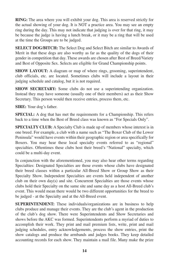**RING:** The area where you will exhibit your dog. This area is reserved strictly for the actual showing of your dog. It is NOT a practice area. You may see an empty ring during the day. This may not indicate that judging is over for that ring, it may be because the judge is having a lunch break, or it may be a ring that will be used at the time the Groups are to be judged.

**SELECT DOG/BITCH:** The Select Dog and Select Bitch are similar to Awards of Merit in that these dogs are also worthy as far as the quality of the dogs of their gender in competition that day. These awards are chosen after Best of Breed/Variety and Best of Opposite Sex. Selects are eligible for Grand Championship points.

**SHOW LAYOUT:** A diagram or map of where rings, grooming, superintendent, club officials, etc. are located. Sometimes clubs will include a layout in their judging schedule and catalog, but it is not required.

**SHOW SECRETARY:** Some clubs do not use a superintending organization. Instead they may have someone (usually one of their members) act as their Show Secretary. This person would then receive entries, process them, etc.

**SIRE:** Your dog's father.

**SPECIAL:** A dog that has met the requirements for a Championship. This refers back to a time when the Best of Breed class was known as "For Specials Only".

**SPECIALTY CLUB:** A Specialty Club is made up of members whose interest is in one breed. For example, a club with a name such as "The Boxer Club of the Lower Peninsula" would have events within their geographic region or area specifically for Boxers. You may hear these local specialty events referred to as "regional" specialties. Oftentimes these clubs host their breed's "National" specialty, which could be a multi-day event.

In conjunction with the aforementioned, you may also hear other terms regarding Specialties: Designated Specialties are those events whose clubs have designated their breed classes within a particular All-Breed Show or Group Show as their Specialty Show. Independent Specialties are events held independent of another club on their own day(s) and site. Concurrent Specialties are those events whose clubs hold their Specialty on the same site and same day as a host All-Breed club's event. This would mean there would be two different opportunities for the breed to be judged - at the Specialty and at the All-Breed event.

**SUPERINTENDENT:** These individuals/organizations are in business to help clubs produce and manage their events. They are the club's agent in the production of the club's dog show. There were Superintendents and Show Secretaries and shows before the AKC was formed. Superintendents perform a myriad of duties to accomplish their work. They print and mail premium lists, write, print and mail judging schedules, entry acknowledgements, process the show entries, print the show catalogs and produce the armbands and judges books. They keep detailed accounting records for each show. They maintain a mail file. Many make the prize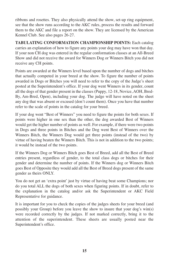ribbons and rosettes. They also physically attend the show, set-up ring equipment, see that the show runs according to the AKC rules, process the results and forward them to the AKC and file a report on the show. They are licensed by the American Kennel Club. See also pages 26-27.

**TABULATING CONFORMATION CHAMPIONSHIP POINTS:** Each catalog carries an explanation of how to figure any points your dog may have won that day. If your non CH dog was entered in the regular conformation classes at an All-Breed Show and did not receive the award for Winners Dog or Winners Bitch you did not receive any CH points.

Points are awarded at the Winners level based upon the number of dogs and bitches that actually competed in your breed at the show. To figure the number of points awarded in Dogs or Bitches you will need to refer to the copy of the Judge's sheet posted at the Superintendent's office. If your dog went Winners in its gender, count all the dogs of that gender present in the classes (Puppy, 12-18, Novice, AOH, Bred-By, Am-Bred, Open), including your dog. The judge will have noted on the sheet any dog that was absent or excused (don't count them). Once you have that number refer to the scale of points in the catalog for your breed.

If your dog went "Best of Winners" you need to figure the points for both sexes. If points were higher in one sex than the other, the dog awarded Best of Winners would get the higher number of points as well. For example, if there were two points in Dogs and three points in Bitches and the Dog went Best of Winners over the Winners Bitch, the Winners Dog would get three points (instead of the two) by virtue of having beaten the Winners Bitch. This is not in addition to the two points; it would be instead of the two points.

If the Winners Dog or Winners Bitch goes Best of Breed, add all the Best of Breed entries present, regardless of gender, to the total class dogs or bitches for their gender and determine the number of points. If the Winners dog or Winners Bitch goes Best of Opposite they would add all the Best of Breed dogs present of the same gender as theirs ONLY.

You do not get an 'extra point' just by virtue of having beat some Champions; nor do you total ALL the dogs of both sexes when figuring points. If in doubt, refer to the explanation in the catalog and/or ask the Superintendent or AKC Field Representative for guidance.

It is important for you to check the copies of the judges sheets for your breed (and possibly your Group) before you leave the show to insure that your dog's win(s) were recorded correctly by the judges. If not marked correctly, bring it to the attention of the superintendent. These sheets are usually posted near the Superintendent's office.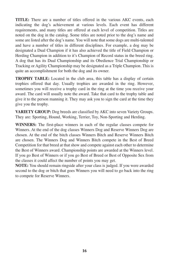**TITLE:** There are a number of titles offered in the various AKC events, each indicating the dog's achievement at various levels. Each event has different requirements, and many titles are offered at each level of competition. Titles are noted on the dog in the catalog. Some titles are noted prior to the dog's name and some are listed after the dog's name. You will note that some dogs are multi-talented and have a number of titles in different disciplines. For example, a dog may be designated a Dual Champion if it has also achieved the title of Field Champion or Herding Champion in addition to it's Champion of Record status in the breed ring. A dog that has its Dual Championship and its Obedience Trial Championship or Tracking or Agility Championship may be designated as a Triple Champion. This is quite an accomplishment for both the dog and its owner.

**TROPHY TABLE:** Located in the club area, this table has a display of certain trophies offered that day. Usually trophies are awarded in the ring. However, sometimes you will receive a trophy card in the ring at the time you receive your award. The card will usually note the award. Take that card to the trophy table and give it to the person manning it. They may ask you to sign the card at the time they give you the trophy.

**VARIETY GROUP:** Dog breeds are classified by AKC into seven Variety Groups. They are: Sporting, Hound, Working, Terrier, Toy, Non-Sporting and Herding.

**WINNERS:** The first-place winners in each of the regular classes compete for Winners. At the end of the dog classes Winners Dog and Reserve Winners Dog are chosen. At the end of the bitch classes Winners Bitch and Reserve Winners Bitch are chosen. The Winners Dog and Winners Bitch compete in the Best of Breed Competition for that breed at that show and compete against each other to determine the Best of Winners award. Championship points are awarded at the Winners level. If you go Best of Winners or if you go Best of Breed or Best of Opposite Sex from the classes it could affect the number of points you may get.

**NOTE:** You should remain ringside after your class is judged. If you were awarded second to the dog or bitch that goes Winners you will need to go back into the ring to compete for Reserve Winners.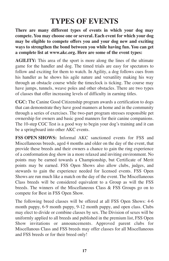## **TYPES OF EVENTS**

**There are many different types of events in which your dog may compete. You may choose one or several. Each event for which your dog may be eligible to compete offers you and your dog new and exciting ways to strengthen the bond between you while having fun. You can get a complete list at [www.akc.org.](http://www.akc.org/) Here are some of the event types:**

**AGILITY:** This area of the sport is more along the lines of the ultimate game for the handler and dog. The timed trials are easy for spectators to follow and exciting for them to watch. In Agility, a dog follows cues from his handler as he shows his agile nature and versatility making his way through an obstacle course while the timeclock is ticking. The course may have jumps, tunnels, weave poles and other obstacles. There are two types of classes that offer increasing levels of difficulty in earning titles.

**CGC:** The Canine Good Citizenship program awards a certification to dogs that can demonstrate they have good manners at home and in the community through a series of exercises. The two-part program stresses responsible pet ownership for owners and basic good manners for their canine companions. The 10-step CGC Test is a good way to begin your dog's training and it can be a springboard into other AKC events.

**FSS OPEN SHOWS:** Informal AKC sanctioned events for FSS and Miscellaneous breeds, aged 4 months and older on the day of the event, that provide these breeds and their owners a chance to gain the ring experience of a conformation dog show in a more relaxed and inviting environment. No points may be earned towards a Championship, but Certificate of Merit points may be earned. FSS Open Shows also allow clubs, judges, and stewards to gain the experience needed for licensed events. FSS Open Shows are run much like a match on the day of the event. The Miscellaneous Class breeds will be considered equivalent to a Group as will the FSS breeds. The winners of the Miscellaneous Class & FSS Groups go on to compete for Best in FSS Open Show.

The following breed classes will be offered at all FSS Open Shows: 4-6 month puppy, 6-9 month puppy, 9-12 month puppy, and open class. Clubs may elect to divide or combine classes by sex. The Division of sexes will be uniformly applied to all breeds and published in the premium list, FSS Open Show invitations or announcements. Approved parent clubs for Miscellanous Class and FSS breeds may offer classes for all Miscellaneous and FSS breeds or for their breed only!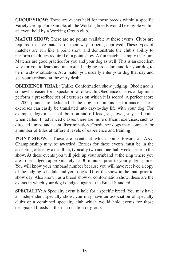**GROUP SHOW:** These are events held for those breeds within a specific Variety Group. For example, all the Working breeds would be eligible within an event held by a Working Group club.

**MATCH SHOW:** There are no points available at these events. Clubs are required to have matches on their way to being approved. These types of matches are run like a point show and demonstrate the club's ability to perform the duties required of a point show. A fun match is simply that: fun. Matches are good practice for you and your dog as well. This is an excellent way for you to learn and understand judging procedure and for your dog to be in a show situation. At a match you usually enter your dog that day and get your armband at the entry desk.

**OBEDIENCE TRIAL:** Unlike Conformation show judging, Obedience is somewhat easier for a spectator to follow. In Obedience classes a dog must perform a prescribed set of exercises on which it is scored. A perfect score is 200; points are deducted if the dog errs in his performance. These exercises can easily be translated into day-to-day life with your dog. For example, dogs must heel, both on and off lead, sit, down, stay and come when called. In advanced classes there are more difficult exercises, such as directed jumps and scent discrimination. Obedience dogs may compete for a number of titles at different levels of experience and training.

**POINT SHOW:** These are events at which points toward an AKC Championship may be awarded. Entries for these events must be in the accepting office by a deadline, typically two and one-half weeks prior to the show. At these events you will pick up your armband at the ring where you are to be judged, approximately 15-30 minutes prior to your judging time. You will know your armband number because you will have received a copy of the judging schedule and your dog's ID for the show in the mail prior to show day. Also known as a breed show or conformation show, these are the events in which your dog is judged against the Breed Standard.

**SPECIALTY:** A Specialty event is held for a specific breed. You may have an independent specialty show, you may have an association of specialty clubs or a combined specialty club which would hold events for those designated breeds in their association or group.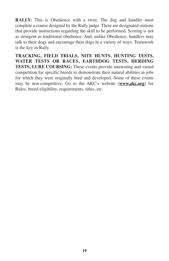**RALLY:** This is Obedience with a twist. The dog and handler must complete a course designed by the Rally judge. There are designated stations that provide instructions regarding the skill to be performed. Scoring is not as stringent as traditional obedience. And, unlike Obedience, handlers may talk to their dogs and encourage their dogs in a variety of ways. Teamwork is the key in Rally.

**TRACKING, FIELD TRIALS, NITE HUNTS, HUNTING TESTS, WATER TESTS OR RACES, EARTHDOG TESTS, HERDING TESTS, LURE COURSING:** These events provide interesting and varied competition for specific breeds to demonstrate their natural abilities in jobs for which they were originally bred and developed. Some of these events may be non-competitive. Go to the AKC's website (**www.akc.org**) for Rules, breed eligibility, requirements, titles, etc.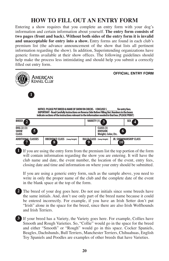## **HOW TO FILL OUT AN ENTRY FORM**

Entering a show requires that you complete an entry form with your dog's information and certain information about yourself. **The entry form consists of two pages (front and back). Without both sides of the entry form it is invalid and unacceptable for entry into a show.** Entry forms are found in each club's premium list (the advance announcement of the show that lists all pertinent information regarding the show). In addition, Superintending organizations have generic forms available at their show offices. The following guidelines should help make the process less intimidating and should help you submit a correctly filled out entry form.



**1** If you are using the entry form from the premium list the top portion of the form will contain information regarding the show you are entering. It will have the club name and date, the event number, the location of the event, entry fees, closing date and time and information on where your entry should be submitted.

If you are using a generic entry form, such as the sample above, you need to  $\frac{1}{2}$ write in only the proper name of the club and the complete date of the event in the blank space at the top of the form.

The breed of your dog goes here. Do not use initials since some breeds have **2** the same initials. And, don't use only part of the breed name because it could be entered incorrectly. For example, if you have an Irish Setter don't put "Irish" alone in the space for the breed, since there are also Irish Wolfhounds and Irish Terriers.

If your breed has a Variety, the Variety goes here. For example, Collies have **3** Smooth and Rough Varieties. So, "Collie" would go in the space for the breed and either "Smooth" or "Rough" would go in this space. Cocker Spaniels, Beagles, Dachshunds, Bull Terriers, Manchester Terriers, Chihuahuas, English Toy Spaniels and Poodles are examples of other breeds that have Varieties.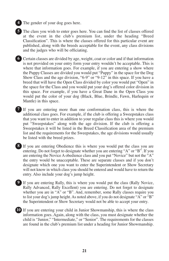- The gender of your dog goes here. **4**
- 5 The class you wish to enter goes here. You can find the list of classes offered at the event in the club's premium list, under the heading "Breed Classification". This is where the classes offered for this particular event are published, along with the breeds acceptable for the event, any class divisions and the judges who will be officiating.

Certain classes are divided by age, weight, coat or color and if that information **6** is not provided on your entry form your entry wouldn't be acceptable. This is where that information goes. For example, if you are entering a show where the Puppy Classes are divided you would put "Puppy" in the space for the Dog Show Class and the age division, "6-9" or "9-12" in this space. If you have a breed that will have the Open Class divided by color you would put "Open" in the space for the Class and you would put your dog's offered color division in this space. For example, if you have a Great Dane in the Open Class you would put the color of your dog (Black, Blue, Brindle, Fawn, Harlequin or Mantle) in this space.

- If you are entering more than one conformation class, this is where the **7** additional class goes. For example, if the club is offering a Sweepstakes class that you want to enter in addition to your regular class this is where you would put "Sweepstakes" along with the age division. If the club is offering a Sweepstakes it will be listed in the Breed Classification area of the premium list and the requirements for the Sweepstakes, the age divisions would usually be listed with the breed prizes.
- If you are entering Obedience this is where you would put the class you are **8** entering. Do not forget to designate whether you are entering "A" or "B". If you are entering the Novice A obedience class and you put "Novice" but not the "A" the entry would be unacceptable. These are separate classes and if you don't designate which one you want to enter the Superintendent or Show Secretary will not know in which class you should be entered and would have to return the entry. Also include your dog's jump height.
- **9** If you are entering Rally, this is where you would put the class (Rally Novice, Rally Advanced, Rally Excellent) you are entering. Do not forget to designate whether you are in "A" or "B". And, remember, some Rally classes require you to list your dog's jump height. As noted above, if you do not designate "A" or "B" the Superintendent or Show Secretary would not be able to accept your entry.
- 10 If you are entering your child in Junior Showmanship, this is where the class information goes. Again, along with the class, you must designate whether the child is "Junior," "Intermediate," or "Senior". The requirements for the classes are found in the club's premium list under a heading for Junior Showmanship.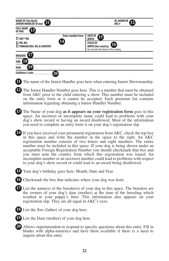| <b>NAME OF (See Back)</b><br>JUNIOR HANDLER (if any)                                                                                                          | JR. HANDLER<br>$\overline{12}$<br>AKC#                                                                                                                                                                                                                                                                                                                                                                                                                               |  |  |  |  |  |  |
|---------------------------------------------------------------------------------------------------------------------------------------------------------------|----------------------------------------------------------------------------------------------------------------------------------------------------------------------------------------------------------------------------------------------------------------------------------------------------------------------------------------------------------------------------------------------------------------------------------------------------------------------|--|--|--|--|--|--|
| <b>FULL NAME</b><br>13<br>OF DOG                                                                                                                              |                                                                                                                                                                                                                                                                                                                                                                                                                                                                      |  |  |  |  |  |  |
| <b>Enter number here</b><br>$\square$ akc® no.                                                                                                                | <b>DATE OF</b><br>15)<br><b>BIRTH</b>                                                                                                                                                                                                                                                                                                                                                                                                                                |  |  |  |  |  |  |
| $\square$ PAL NO.<br><b>ID FOREIGN REG. NO. &amp; COUNTRY</b>                                                                                                 | <b>PLACE OF</b><br>16<br><b>BIRTH (list country)</b><br>Do not print the above in the catalog                                                                                                                                                                                                                                                                                                                                                                        |  |  |  |  |  |  |
| BREEDER 17                                                                                                                                                    |                                                                                                                                                                                                                                                                                                                                                                                                                                                                      |  |  |  |  |  |  |
| <b>SIRE 18</b>                                                                                                                                                |                                                                                                                                                                                                                                                                                                                                                                                                                                                                      |  |  |  |  |  |  |
| 19<br>DAM                                                                                                                                                     |                                                                                                                                                                                                                                                                                                                                                                                                                                                                      |  |  |  |  |  |  |
| <b>Exhibitor's Code</b><br>$\overline{20}$                                                                                                                    |                                                                                                                                                                                                                                                                                                                                                                                                                                                                      |  |  |  |  |  |  |
| <b>11</b> The name of the Junior Handler goes here when entering Junior Showmanship.                                                                          |                                                                                                                                                                                                                                                                                                                                                                                                                                                                      |  |  |  |  |  |  |
| 12 The Junior Handler Number goes here. This is a number that must be obtained<br>information regarding obtaining a Junior Handler Number.                    | from AKC prior to the child entering a show. This number must be included<br>on the entry form or it cannot be accepted. Each premium list contains                                                                                                                                                                                                                                                                                                                  |  |  |  |  |  |  |
| <b>13</b> The Name of your dog as it appears on your registration form goes in this<br>you need to complete an entry form is on your dog's registration slip. | space. An incorrect or incomplete name could lead to problems with your<br>dog's show record or having an award disallowed. Most of the information                                                                                                                                                                                                                                                                                                                  |  |  |  |  |  |  |
| 14 If you have received your permanent registration from AKC, check the top box<br>to your dog's show record or could lead to an award being disallowed.      | in this space and write the number in the space to the right. An AKC<br>registration number consists of two letters and eight numbers. The entire<br>number must be included in this space. If your dog is being shown under an<br>acceptable Foreign Registration Number you should checkmark that box and<br>you must note the country from which this registration was issued. An<br>incomplete number or an incorrect number could lead to problems with respect |  |  |  |  |  |  |
| IS Your dog's birthday goes here: Month, Date and Year.                                                                                                       |                                                                                                                                                                                                                                                                                                                                                                                                                                                                      |  |  |  |  |  |  |
| 16 Checkmark the box that indicates where your dog was born.                                                                                                  |                                                                                                                                                                                                                                                                                                                                                                                                                                                                      |  |  |  |  |  |  |
| $\overline{17}$ List the name(s) of the breeder(s) of your dog in this space. The breeders are<br>registration slip. They are all equal in AKC's eyes.        | the owners of your dog's dam (mother) at the time of the breeding which<br>resulted in your puppy's litter. This information also appears on your                                                                                                                                                                                                                                                                                                                    |  |  |  |  |  |  |
| <b>18</b> List the Sire (father) of your dog here.                                                                                                            |                                                                                                                                                                                                                                                                                                                                                                                                                                                                      |  |  |  |  |  |  |
| <sup>19</sup> List the Dam (mother) of your dog here.                                                                                                         |                                                                                                                                                                                                                                                                                                                                                                                                                                                                      |  |  |  |  |  |  |
| 20 Allows superintendent to respond to specific questions about this entry. Fill in                                                                           | blanks with alpha-numerics and have them available if there is a need to                                                                                                                                                                                                                                                                                                                                                                                             |  |  |  |  |  |  |

inquire about this entry.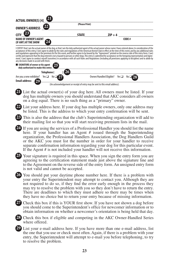| <b>ACTUAL OWNER(S)[4]</b>                                                  |             | (Please Print)                                                              |                                       |           |                                                                                                                                                                                                                                                                                                                                                                                                                                                                                                                                                                                                                                                                                                                                                                                                                                                                              |  |
|----------------------------------------------------------------------------|-------------|-----------------------------------------------------------------------------|---------------------------------------|-----------|------------------------------------------------------------------------------------------------------------------------------------------------------------------------------------------------------------------------------------------------------------------------------------------------------------------------------------------------------------------------------------------------------------------------------------------------------------------------------------------------------------------------------------------------------------------------------------------------------------------------------------------------------------------------------------------------------------------------------------------------------------------------------------------------------------------------------------------------------------------------------|--|
| <b>OWNER'S ADDRESS</b>                                                     |             |                                                                             |                                       |           |                                                                                                                                                                                                                                                                                                                                                                                                                                                                                                                                                                                                                                                                                                                                                                                                                                                                              |  |
| 23                                                                         |             | <b>STATE</b>                                                                |                                       | $ZIP + 4$ |                                                                                                                                                                                                                                                                                                                                                                                                                                                                                                                                                                                                                                                                                                                                                                                                                                                                              |  |
| <b>NAME OF OWNER'S AGENT</b><br>(IF ANY) AT THE SHOW                       |             |                                                                             |                                       |           | CODE #                                                                                                                                                                                                                                                                                                                                                                                                                                                                                                                                                                                                                                                                                                                                                                                                                                                                       |  |
| any decisions made in accord with them.<br>SIGNATURE of owner or his agent |             |                                                                             |                                       |           | I CERTIFY that I am the actual owner of the dog, or that I am the duly authorized agent of the actual owner whose name I have entered above. In consideration of the<br>acceptance of this entry, I (we) agree to abide by the rules and regulations of the American Kennel Club in effect at the time of this event, and by any additional rules<br>and regulations appearing in the premium list for this event, and further agree to be bound by the "Agreement" printed on the reverse side of this entry form. I (we)<br>certify and represent that the dog entered is not a hazard to persons or other dogs. This entry is submitted for acceptance on the foregoing representation and Agree-<br>ment. I (we) agree to conduct myself (ourselves) in accordance with all such Rules and Regulations (including all provisions applying to discipline) and to abide by |  |
| duly authorized to make this entry _                                       |             |                                                                             |                                       |           |                                                                                                                                                                                                                                                                                                                                                                                                                                                                                                                                                                                                                                                                                                                                                                                                                                                                              |  |
| Are you a new exhibitor? Yes ■ No ■                                        | Telephone ( | $\frac{26}{ }$                                                              | Owner/Handled Eligible? Yes $\square$ |           | No L                                                                                                                                                                                                                                                                                                                                                                                                                                                                                                                                                                                                                                                                                                                                                                                                                                                                         |  |
| Email address: 29                                                          |             |                                                                             |                                       |           |                                                                                                                                                                                                                                                                                                                                                                                                                                                                                                                                                                                                                                                                                                                                                                                                                                                                              |  |
|                                                                            |             | (An acknowledgement or receipt of entry may be sent to this email address): |                                       |           |                                                                                                                                                                                                                                                                                                                                                                                                                                                                                                                                                                                                                                                                                                                                                                                                                                                                              |  |
|                                                                            |             | on a dog equal. There is no such thing as a "primary" owner.                |                                       |           | <b>21</b> List the actual owner(s) of your dog here. All owners must be listed. If your<br>dog has multiple owners you should understand that AKC considers all owners                                                                                                                                                                                                                                                                                                                                                                                                                                                                                                                                                                                                                                                                                                       |  |
|                                                                            |             |                                                                             |                                       |           | 22 List your address here. If your dog has multiple owners, only one address may<br>be listed. This is the address to which your entry confirmation will be sent.                                                                                                                                                                                                                                                                                                                                                                                                                                                                                                                                                                                                                                                                                                            |  |
|                                                                            |             |                                                                             |                                       |           | 23 This is also the address that the club's Superintending organization will add to<br>their mailing list so that you will start receiving premium lists in the mail.                                                                                                                                                                                                                                                                                                                                                                                                                                                                                                                                                                                                                                                                                                        |  |
|                                                                            |             |                                                                             |                                       |           | 24) If you are using the services of a Professional Handler you should list the name<br>here. If your handler has an Agent # issued through the Superintending<br>organization, the Professional Handlers Association, the Dog Handlers Guild<br>or the AKC you must list the number in order for your handler to receive<br>separate confirmation information regarding your dog for this particular event.<br>If the Agent $#$ is not included your handler will not receive this information.                                                                                                                                                                                                                                                                                                                                                                             |  |
| is not valid and cannot be accepted.                                       |             |                                                                             |                                       |           | Your signature is required in this space. When you sign the entry form you are<br>agreeing to the certification statement made just above the signature line and<br>to the Agreement on the reverse side of the entry form. An unsigned entry form                                                                                                                                                                                                                                                                                                                                                                                                                                                                                                                                                                                                                           |  |
|                                                                            |             |                                                                             |                                       |           | You should put your daytime phone number here. If there is a problem with<br>your entry the Superintendent may attempt to contact you. Although they are<br>not required to do so, if they find the error early enough in the process they<br>may try to resolve the problem with you so they don't have to return the entry.<br>There are deadlines to which they must adhere so there may be times when<br>they have no choice but to return your entry because of missing information.                                                                                                                                                                                                                                                                                                                                                                                    |  |
|                                                                            |             |                                                                             |                                       |           | Check this box if this is YOUR first show. If you have not shown a dog before<br>you should come to the Superintendent's office for newcomer information or to<br>obtain information on whether a newcomer's orientation is being held that day.                                                                                                                                                                                                                                                                                                                                                                                                                                                                                                                                                                                                                             |  |
| where offered.                                                             |             |                                                                             |                                       |           | 28 Check this box if eligible and competing in the AKC Owner-Handled Series                                                                                                                                                                                                                                                                                                                                                                                                                                                                                                                                                                                                                                                                                                                                                                                                  |  |
| to resolve the problem.                                                    |             |                                                                             |                                       |           | 29 List your e-mail address here. If you have more than one e-mail address, list<br>the one that you use or check most often. Again, if there is a problem with your<br>entry, the Superintendent will attempt to e-mail you before telephoning, to try                                                                                                                                                                                                                                                                                                                                                                                                                                                                                                                                                                                                                      |  |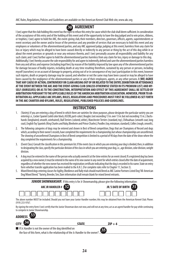AKC Rules, Regulations, Policies and Guidelines are available on the American Kennel Club Web site, www.akc.org

### **AGREEMENT 30**

I (we) agree that the club holding this event has the right to refuse this entry for cause which the club shall deem sufficient. In consideration of the acceptance of this entry and of the holding of this event and of the opportunity to have the dog judged and to win prizes, ribbons, or trophies, I (we) agree to hold the AKC, the event-giving club, their members, directors, governors, officers, agents, superintendents or event secretary and the owner and/or lessor of the premises and any provider of services that are necessary to hold this event and any employees or volunteers of the aforementioned parties, and any AKC approved judge, judging at this event, harmless from any claim for loss or injury which may be alleged to have been caused directly or indirectly to any person or thing by the act of this dog while in or about the event premises or grounds or near any entrance thereto, and I (we) personally assume all responsibility and liability for any such claim; and I (we) further agree to hold the aforementioned parties harmless from any claim for loss, injury or damage to this dog. Additionally, I (we) hereby assume the sole responsibility for and agree to indemnify, defend and save the aforementioned parties harmless from any and all loss and expense (including legal fees) by reason of the liability imposed by law upon any of the aforementioned parties for damage because of bodily injuries, including death at any time resulting therefrom, sustained by any person or persons, including myself (ourselves) or on account of damage to property, arising out of or in consequence of my (our) participation in this event, however such injuries, death or property damage may be caused, and whether or not the same may have been caused or may be alleged to have been caused by the negligence of the aforementioned parties or any of their employees, agents, or any other persons. **I (WE) AGREE THAT ANY CAUSE OF ACTION, CONTROVERSY OR CLAIM ARISING OUT OF OR RELATED TO THE ENTRY, EXHIBITION OR ATTENDANCE AT THE EVENT BETWEEN THE AKC AND THE EVENT-GIVING CLUB (UNLESS OTHERWISE STATED IN ITS PREMIUM LIST) AND MY-SELF (OURSELVES) OR AS TO THE CONSTRUCTION, INTERPRETATION AND EFFECT OF THIS AGREEMENT SHALL BE SETTLED BY ARBITRATION PURSUANT TO THE APPLICABLE RULES OF THE AMERICAN ARBITRATION ASSOCIATION. HOWEVER, PRIOR TO AR-BITRATION ALL APPLICABLE AKC BYLAWS, RULES, REGULATIONS AND PROCEDURES MUST FIRST BE FOLLOWED AS SET FORTH IN THE AKC CHARTER AND BYLAWS, RULES, REGULATIONS, PUBLISHED POLICIES AND GUIDELINES.**

#### **INSTRUCTIONS**

- 1. (Variety) if you are entering a dog of breed in which there are varieties for show purposes, please designate the particular variety you are entering i.e., Cocker Spaniel (solid color black, ASCOB, parti-color). Beagles (not exceeding 13 in. over 13 in. but not exceeding 15 in.). Dachshunds (longhaired, smooth, wirehaired), Bull Terriers (colored, white), Manchester Terriers (standard, toy), Chihuahuas (smooth coat, long coat), English Toy Spaniels (King Charles and Ruby, Blenheim and Prince Charles), Poodles (toy, miniature, standard), Collies (rough, smooth),
- 2. The following categories of dogs may be entered and shown in Best of Breed competition; Dogs that are Champions of Record and dogs which, according to their owner's records, have completed the requirements for a championship, but whose championships are unconfirmed. The showing of unconfirmed Champions in Best of Breed competition is limited to a period of 90 days from the date of the show where the dog completed the requirements for a championship.
- 3. (Event Class) Consult the classification in this premium list. If the event class in which you are entering your dog is divided, then, in addition to designating the class, specify the particular division of the class in which you are entering your dog, i.e., age division, color division, weight division.
- 4. A dog must be entered in the name of the person who actually owned it at the time entries for an event closed. If a registered dog has been acquired by a new owner, it must be entered in the name of its new owner in any event for which entries closed after the date of acquirement, regardless of whether the new owner has received the registration certificate indicating that the dog is recorded in his name. State on entry form whether transfer application has been mailed to the A.K.C. (For complete rules refer to Chapter 11, Section 3).
- 5. Mixed Breed dogs entering classes for Agility, Obedience and Rally trials should mark Breed as AKC Canine Partners Listed Dog "All-American Dog/Mixed Breed." Variety, Breeder, Sire, Dam information shall remain blank for mixed breed entrants.

| <b>JUNIOR SHOWMANSHIP.</b> If this entry is for Jr Showmanship, please give the following information:                                   |                     |
|------------------------------------------------------------------------------------------------------------------------------------------|---------------------|
| AKC JR HANDLER # 32                                                                                                                      | JR.'S DATE OF BIRTH |
| , , , , , , , , , , , , , , , , ,                                                                                                        |                     |
| The above number MUST be included Should you not have your Junior Handler number this may be obtained from the American Kennel Club Phon |                     |

The above number MUST be included. Should you not have your Junior Handler number, this may be obtained from the American Kennel Club. Phone: (919) 233-9767.

By signing the entry form I (we) certify that the Junior Showman does not now, and will not at any time, act as an agent/handler for pay while continuing to compete in Junior Showmanship.

| ADDRESS <sup>33</sup>                                                            |              |    |           |  |
|----------------------------------------------------------------------------------|--------------|----|-----------|--|
| $GITY$ $34$                                                                      | <b>STATE</b> |    | $7IP + 4$ |  |
| $\blacksquare$ If Jr. Handler is not the owner of the dog identified on          |              | 85 |           |  |
| the face of this form, what is the relationship of the Jr. Handler to the owner? |              |    |           |  |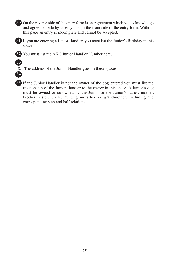On the reverse side of the entry form is an Agreement which you acknowledge **30** and agree to abide by when you sign the front side of the entry form. Without this page an entry is incomplete and cannot be accepted.

If you are entering a Junior Handler, you must list the Junior's Birthday in this **31** space.



**33**

**34**



If the Junior Handler is not the owner of the dog entered you must list the **35**relationship of the Junior Handler to the owner in this space. A Junior's dog must be owned or co-owned by the Junior or the Junior's father, mother, brother, sister, uncle, aunt, grandfather or grandmother, including the corresponding step and half relations.

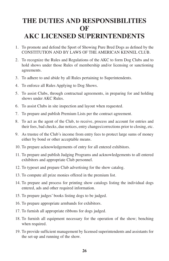## **THE DUTIES AND RESPONSIBILITIES OF AKC LICENSED SUPERINTENDENTS**

- 1. To promote and defend the Sport of Showing Pure Bred Dogs as defined by the CONSTITUTION AND BY LAWS OF THE AMERICAN KENNEL CLUB.
- 2. To recognize the Rules and Regulations of the AKC to form Dog Clubs and to hold shows under those Rules of membership and/or licensing or sanctioning agreements.
- 3. To adhere to and abide by all Rules pertaining to Superintendents.
- 4. To enforce all Rules Applying to Dog Shows.
- 5. To assist Clubs, through contractual agreements, in preparing for and holding shows under AKC Rules.
- 6. To assist Clubs in site inspection and layout when requested.
- 7. To prepare and publish Premium Lists per the contract agreement.
- 8. To act as the agent of the Club, to receive, process and account for entries and their fees, bad checks, due notices, entry changes/corrections prior to closing, etc.
- 9. As trustee of the Club's income from entry fees to protect large sums of money either by bond or other acceptable means.
- 10. To prepare acknowledgements of entry for all entered exhibitors.
- 11. To prepare and publish Judging Programs and acknowledgements to all entered exhibitors and appropriate Club personnel.
- 12. To typeset and prepare Club advertising for the show catalog.
- 13. To compute all prize monies offered in the premium list.
- 14. To prepare and process for printing show catalogs listing the individual dogs entered, ads and other required information.
- 15. To prepare judges' books listing dogs to be judged.
- 16. To prepare appropriate armbands for exhibitors.
- 17. To furnish all appropriate ribbons for dogs judged.
- 18. To furnish all equipment necessary for the operation of the show; benching when required.
- 19. To provide sufficient management by licensed superintendents and assistants for the set-up and running of the show.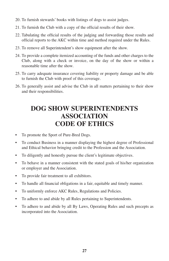- 20. To furnish stewards' books with listings of dogs to assist judges.
- 21. To furnish the Club with a copy of the official results of their show.
- 22. Tabulating the official results of the judging and forwarding those results and official reports to the AKC within time and method required under the Rules.
- 23. To remove all Superintendent's show equipment after the show.
- 24. To provide a complete itemized accounting of the funds and other charges to the Club, along with a check or invoice, on the day of the show or within a reasonable time after the show.
- 25. To carry adequate insurance covering liability or property damage and be able to furnish the Club with proof of this coverage.
- 26. To generally assist and advise the Club in all matters pertaining to their show and their responsibilities.

## **DOG SHOW SUPERINTENDENTS ASSOCIATION CODE OF ETHICS**

- To promote the Sport of Pure-Bred Dogs.
- To conduct Business in a manner displaying the highest degree of Professional and Ethical behavior bringing credit to the Profession and the Association.
- To diligently and honestly pursue the client's legitimate objectives.
- To behave in a manner consistent with the stated goals of his/her organization or employer and the Association.
- To provide fair treatment to all exhibitors.
- To handle all financial obligations in a fair, equitable and timely manner.
- To uniformly enforce AKC Rules, Regulations and Policies.
- To adhere to and abide by all Rules pertaining to Superintendents.
- To adhere to and abide by all By Laws, Operating Rules and such precepts as incorporated into the Association.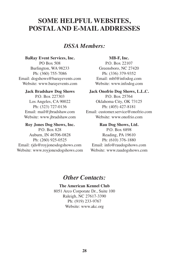## **SOME HELPFUL WEBSITES, POSTAL AND E-MAIL ADDRESSES**

#### *DSSA Members:*

**BaRay Event Services, Inc.** PO Box 508 Burlington, WA 98233 Ph: (360) 755-7086 Email: dogshows@barayevents.com Website: www.barayevents.com

#### **Jack Bradshaw Dog Shows**

P.O. Box 227303 Los Angeles, CA 90022 Ph: (323) 727-0136 Email: mail@jbradshaw.com Website: www.jbradshaw.com

**Roy Jones Dog Shows, Inc.** P.O. Box 828 Auburn, IN 46706-0828 Ph: (260) 925-0525 Email: rjds@royjonesdogshows.com Website: www.royjonesdogshows.com

#### **MB-F, Inc.**

P.O. Box 22107 Greensboro, NC 27420 Ph: (336) 379-9352 Email: mbf@infodog.com Website: www.infodog.com

#### **Jack Onofrio Dog Shows, L.L.C.**

P.O. Box 25764 Oklahoma City, OK 73125 Ph: (405) 427-8181 Email: customer.service@onofrio.com Website: www.onofrio.com

**Rau Dog Shows, Ltd.**

P.O. Box 6898 Reading, PA 19610 Ph: (610) 376-1880 Email: info@raudogshows.com Website: www.raudogshows.com

### *Other Contacts:*

#### **The American Kennel Club**

8051 Arco Corporate Dr., Suite 100 Raleigh, NC 27617-3390 Ph: (919) 233-9767 Website: www.akc.org